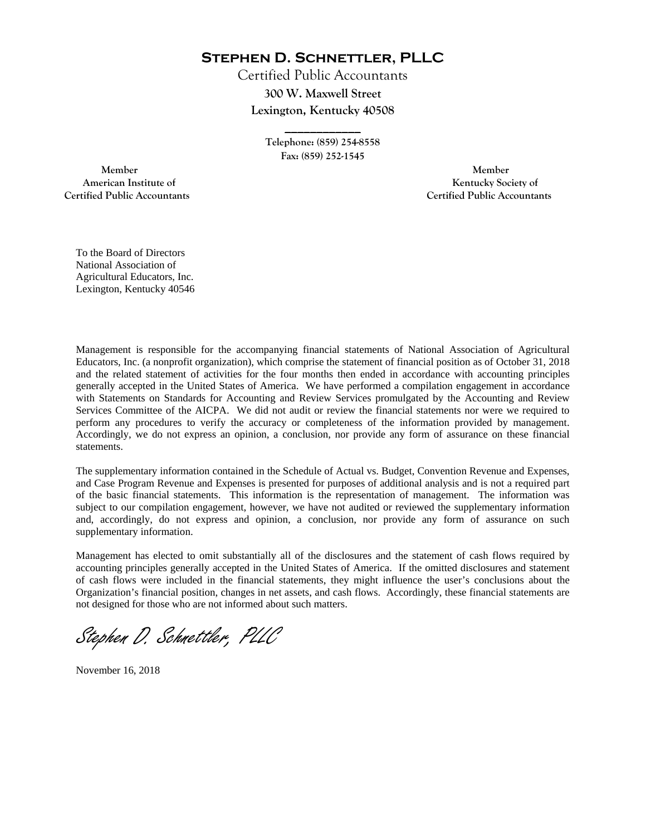**Stephen D. Schnettler, PLLC**

Certified Public Accountants **300 W. Maxwell Street Lexington, Kentucky 40508** 

> **Telephone: (859) 254-8558 Fax: (859) 252-1545**

**\_\_\_\_\_\_\_\_\_\_\_\_** 

 **Member Member Certified Public Accountants Certified Public Accountants** 

American Institute of **Kentucky Society of American Institute of** 

To the Board of Directors National Association of Agricultural Educators, Inc. Lexington, Kentucky 40546

Management is responsible for the accompanying financial statements of National Association of Agricultural Educators, Inc. (a nonprofit organization), which comprise the statement of financial position as of October 31, 2018 and the related statement of activities for the four months then ended in accordance with accounting principles generally accepted in the United States of America. We have performed a compilation engagement in accordance with Statements on Standards for Accounting and Review Services promulgated by the Accounting and Review Services Committee of the AICPA. We did not audit or review the financial statements nor were we required to perform any procedures to verify the accuracy or completeness of the information provided by management. Accordingly, we do not express an opinion, a conclusion, nor provide any form of assurance on these financial statements.

The supplementary information contained in the Schedule of Actual vs. Budget, Convention Revenue and Expenses, and Case Program Revenue and Expenses is presented for purposes of additional analysis and is not a required part of the basic financial statements. This information is the representation of management. The information was subject to our compilation engagement, however, we have not audited or reviewed the supplementary information and, accordingly, do not express and opinion, a conclusion, nor provide any form of assurance on such supplementary information.

Management has elected to omit substantially all of the disclosures and the statement of cash flows required by accounting principles generally accepted in the United States of America. If the omitted disclosures and statement of cash flows were included in the financial statements, they might influence the user's conclusions about the Organization's financial position, changes in net assets, and cash flows. Accordingly, these financial statements are not designed for those who are not informed about such matters.

Stephen D. Schnettler, PLLC

November 16, 2018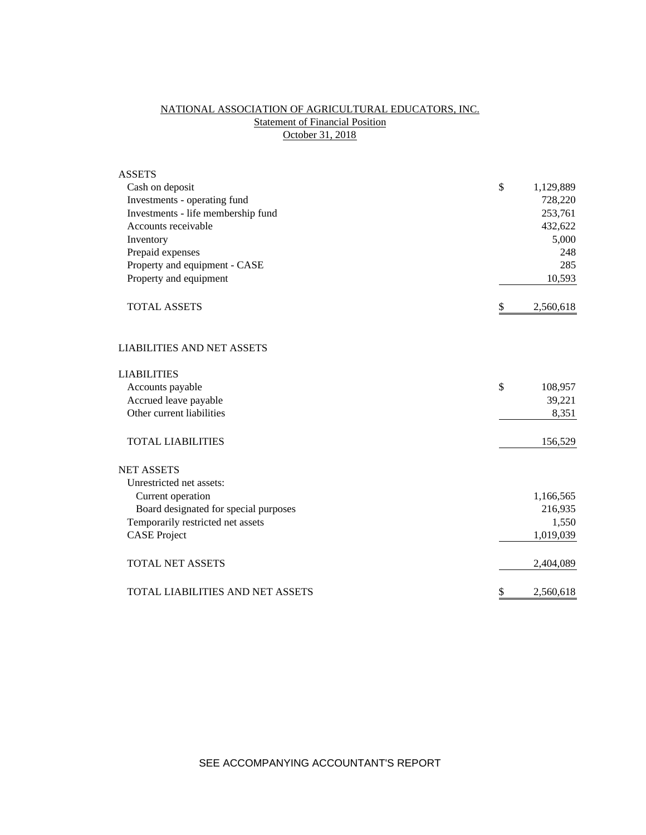# NATIONAL ASSOCIATION OF AGRICULTURAL EDUCATORS, INC. **Statement of Financial Position** October 31, 2018

| <b>ASSETS</b>                         |                 |
|---------------------------------------|-----------------|
| Cash on deposit                       | \$<br>1,129,889 |
| Investments - operating fund          | 728,220         |
| Investments - life membership fund    | 253,761         |
| Accounts receivable                   | 432,622         |
| Inventory                             | 5,000           |
| Prepaid expenses                      | 248             |
| Property and equipment - CASE         | 285             |
| Property and equipment                | 10,593          |
| <b>TOTAL ASSETS</b>                   | \$<br>2,560,618 |
| <b>LIABILITIES AND NET ASSETS</b>     |                 |
| <b>LIABILITIES</b>                    |                 |
| Accounts payable                      | \$<br>108,957   |
| Accrued leave payable                 | 39,221          |
| Other current liabilities             | 8,351           |
| <b>TOTAL LIABILITIES</b>              | 156,529         |
| <b>NET ASSETS</b>                     |                 |
| Unrestricted net assets:              |                 |
| Current operation                     | 1,166,565       |
| Board designated for special purposes | 216,935         |
| Temporarily restricted net assets     | 1,550           |
| <b>CASE Project</b>                   | 1,019,039       |
| <b>TOTAL NET ASSETS</b>               | 2,404,089       |
| TOTAL LIABILITIES AND NET ASSETS      | \$<br>2,560,618 |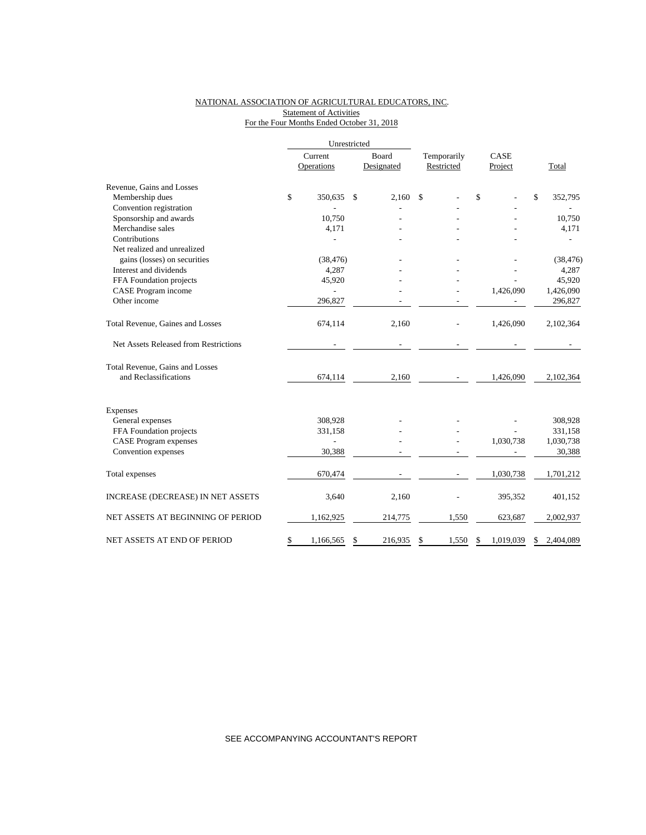## NATIONAL ASSOCIATION OF AGRICULTURAL EDUCATORS, INC. Statement of Activities For the Four Months Ended October 31, 2018

|                                       | Unrestricted          |                            |                           |       |                 |              |           |
|---------------------------------------|-----------------------|----------------------------|---------------------------|-------|-----------------|--------------|-----------|
|                                       | Current<br>Operations | <b>Board</b><br>Designated | Temporarily<br>Restricted |       | CASE<br>Project |              | Total     |
| Revenue, Gains and Losses             |                       |                            |                           |       |                 |              |           |
| Membership dues                       | \$<br>350.635         | \$<br>2.160                | \$                        |       | \$              | $\mathbb{S}$ | 352,795   |
| Convention registration               |                       |                            |                           |       |                 |              |           |
| Sponsorship and awards                | 10,750                |                            |                           |       |                 |              | 10,750    |
| Merchandise sales                     | 4,171                 |                            |                           |       |                 |              | 4,171     |
| Contributions                         |                       |                            |                           |       |                 |              |           |
| Net realized and unrealized           |                       |                            |                           |       |                 |              |           |
| gains (losses) on securities          | (38, 476)             |                            |                           |       |                 |              | (38, 476) |
| Interest and dividends                | 4,287                 |                            |                           |       |                 |              | 4,287     |
| FFA Foundation projects               | 45,920                |                            |                           |       |                 |              | 45,920    |
| CASE Program income                   |                       |                            |                           |       | 1,426,090       |              | 1,426,090 |
| Other income                          | 296,827               |                            |                           |       |                 |              | 296,827   |
| Total Revenue, Gaines and Losses      | 674,114               | 2,160                      |                           |       | 1,426,090       |              | 2,102,364 |
| Net Assets Released from Restrictions |                       |                            |                           |       |                 |              |           |
| Total Revenue, Gains and Losses       |                       |                            |                           |       |                 |              |           |
| and Reclassifications                 | 674,114               | 2,160                      |                           |       | 1,426,090       |              | 2,102,364 |
| Expenses                              |                       |                            |                           |       |                 |              |           |
| General expenses                      | 308,928               |                            |                           |       |                 |              | 308,928   |
| FFA Foundation projects               | 331,158               |                            |                           |       |                 |              | 331,158   |
| <b>CASE</b> Program expenses          |                       |                            |                           |       | 1,030,738       |              | 1,030,738 |
| Convention expenses                   | 30,388                |                            |                           |       |                 |              | 30,388    |
| Total expenses                        | 670,474               |                            |                           |       | 1,030,738       |              | 1,701,212 |
| INCREASE (DECREASE) IN NET ASSETS     | 3,640                 | 2,160                      |                           |       | 395,352         |              | 401,152   |
| NET ASSETS AT BEGINNING OF PERIOD     | 1,162,925             | 214,775                    |                           | 1,550 | 623,687         |              | 2,002,937 |
| NET ASSETS AT END OF PERIOD           | \$<br>1,166,565       | \$<br>216,935              | \$                        | 1,550 | \$<br>1,019,039 | \$           | 2,404,089 |

SEE ACCOMPANYING ACCOUNTANT'S REPORT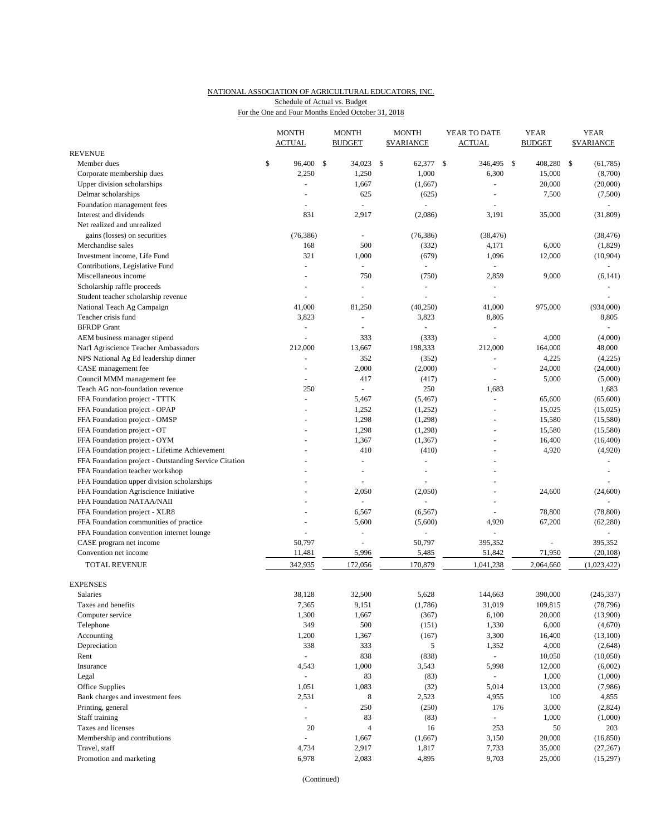## NATIONAL ASSOCIATION OF AGRICULTURAL EDUCATORS, INC. Schedule of Actual vs. Budget

For the One and Four Months Ended October 31, 2018

|                                                       |    | <b>MONTH</b><br><b>ACTUAL</b> |  | <b>MONTH</b><br><b>BUDGET</b> |     | <b>MONTH</b><br><b>\$VARIANCE</b> | YEAR TO DATE<br>ACTUAL |                      |  | <b>YEAR</b><br><b>BUDGET</b> |    | <b>YEAR</b><br><b>\$VARIANCE</b> |  |
|-------------------------------------------------------|----|-------------------------------|--|-------------------------------|-----|-----------------------------------|------------------------|----------------------|--|------------------------------|----|----------------------------------|--|
| <b>REVENUE</b>                                        |    |                               |  |                               |     |                                   |                        |                      |  |                              |    |                                  |  |
| Member dues                                           | \$ | 96,400 \$                     |  | 34,023                        | -\$ | 62,377 \$                         |                        | 346,495 \$           |  | 408,280                      | \$ | (61,785)                         |  |
| Corporate membership dues                             |    | 2,250                         |  | 1,250                         |     | 1,000                             |                        | 6,300                |  | 15,000                       |    | (8,700)                          |  |
| Upper division scholarships                           |    | ÷,                            |  | 1,667                         |     | (1,667)                           |                        | $\sim$               |  | 20,000                       |    | (20,000)                         |  |
| Delmar scholarships                                   |    | $\overline{a}$                |  | 625                           |     | (625)                             |                        | $\overline{a}$       |  | 7,500                        |    | (7,500)                          |  |
| Foundation management fees                            |    |                               |  |                               |     |                                   |                        |                      |  |                              |    |                                  |  |
| Interest and dividends                                |    | 831                           |  | 2,917                         |     | (2,086)                           |                        | 3,191                |  | 35,000                       |    | (31, 809)                        |  |
| Net realized and unrealized                           |    |                               |  |                               |     |                                   |                        |                      |  |                              |    |                                  |  |
| gains (losses) on securities                          |    | (76, 386)                     |  |                               |     | (76, 386)                         |                        | (38, 476)            |  |                              |    | (38, 476)                        |  |
| Merchandise sales                                     |    | 168                           |  | 500                           |     | (332)                             |                        | 4,171                |  | 6,000                        |    | (1,829)                          |  |
| Investment income, Life Fund                          |    | 321                           |  | 1,000                         |     | (679)                             |                        | 1,096                |  | 12,000                       |    | (10,904)                         |  |
| Contributions, Legislative Fund                       |    | L,                            |  | $\overline{\phantom{a}}$      |     | $\sim$                            |                        |                      |  |                              |    |                                  |  |
| Miscellaneous income                                  |    |                               |  | 750                           |     | (750)                             |                        | 2,859                |  | 9,000                        |    | (6, 141)                         |  |
| Scholarship raffle proceeds                           |    |                               |  |                               |     | $\sim$                            |                        | $\equiv$             |  |                              |    |                                  |  |
| Student teacher scholarship revenue                   |    |                               |  |                               |     |                                   |                        |                      |  |                              |    |                                  |  |
| National Teach Ag Campaign                            |    | 41,000                        |  | 81,250                        |     | (40,250)                          |                        | 41,000               |  | 975,000                      |    | (934,000)                        |  |
| Teacher crisis fund                                   |    | 3,823                         |  | $\overline{a}$                |     | 3,823                             |                        | 8,805                |  |                              |    | 8,805                            |  |
| <b>BFRDP</b> Grant                                    |    | ÷,                            |  | $\overline{\phantom{a}}$      |     |                                   |                        | ä,                   |  |                              |    |                                  |  |
| AEM business manager stipend                          |    |                               |  | 333                           |     | (333)                             |                        |                      |  | 4,000                        |    | (4,000)                          |  |
| Nat'l Agriscience Teacher Ambassadors                 |    | 212,000                       |  | 13,667                        |     | 198,333                           |                        | 212,000              |  | 164,000                      |    | 48,000                           |  |
| NPS National Ag Ed leadership dinner                  |    | $\omega$                      |  | 352                           |     | (352)                             |                        | $\bar{\phantom{a}}$  |  | 4,225                        |    | (4,225)                          |  |
| CASE management fee                                   |    | $\overline{a}$                |  | 2,000                         |     | (2,000)                           |                        | ÷,                   |  | 24,000                       |    | (24,000)                         |  |
| Council MMM management fee                            |    | ÷,                            |  | 417                           |     | (417)                             |                        | ÷,                   |  | 5,000                        |    | (5,000)                          |  |
| Teach AG non-foundation revenue                       |    | 250                           |  | $\sim$                        |     | 250                               |                        | 1,683                |  |                              |    | 1,683                            |  |
| FFA Foundation project - TTTK                         |    | ÷,                            |  | 5,467                         |     | (5, 467)                          |                        | $\sim$               |  | 65,600                       |    | (65,600)                         |  |
| FFA Foundation project - OPAP                         |    |                               |  | 1,252                         |     | (1,252)                           |                        | $\sim$               |  | 15,025                       |    | (15,025)                         |  |
| FFA Foundation project - OMSP                         |    |                               |  | 1,298                         |     | (1,298)                           |                        |                      |  | 15,580                       |    | (15,580)                         |  |
| FFA Foundation project - OT                           |    |                               |  | 1,298                         |     | (1,298)                           |                        | $\overline{a}$       |  | 15,580                       |    | (15,580)                         |  |
| FFA Foundation project - OYM                          |    |                               |  | 1,367                         |     | (1, 367)                          |                        | $\blacksquare$       |  | 16,400                       |    | (16,400)                         |  |
| FFA Foundation project - Lifetime Achievement         |    |                               |  | 410                           |     | (410)                             |                        | ä,                   |  | 4,920                        |    | (4,920)                          |  |
| FFA Foundation project - Outstanding Service Citation |    |                               |  |                               |     | ÷,                                |                        |                      |  |                              |    |                                  |  |
| FFA Foundation teacher workshop                       |    |                               |  |                               |     |                                   |                        |                      |  |                              |    |                                  |  |
| FFA Foundation upper division scholarships            |    |                               |  |                               |     |                                   |                        |                      |  |                              |    |                                  |  |
| FFA Foundation Agriscience Initiative                 |    |                               |  | 2,050                         |     | (2,050)                           |                        | $\ddot{\phantom{1}}$ |  | 24,600                       |    | (24, 600)                        |  |
| FFA Foundation NATAA/NAII                             |    |                               |  |                               |     |                                   |                        |                      |  |                              |    |                                  |  |
| FFA Foundation project - XLR8                         |    |                               |  | 6,567                         |     | (6, 567)                          |                        | L.                   |  | 78,800                       |    | (78, 800)                        |  |
| FFA Foundation communities of practice                |    |                               |  | 5,600                         |     | (5,600)                           |                        | 4,920                |  | 67,200                       |    | (62, 280)                        |  |
| FFA Foundation convention internet lounge             |    |                               |  | $\overline{\phantom{a}}$      |     |                                   |                        |                      |  |                              |    |                                  |  |
| CASE program net income                               |    | 50,797                        |  | ÷,                            |     | 50,797                            |                        | 395,352              |  |                              |    | 395,352                          |  |
| Convention net income                                 |    | 11,481                        |  | 5,996                         |     | 5,485                             |                        | 51,842               |  | 71,950                       |    | (20, 108)                        |  |
| <b>TOTAL REVENUE</b>                                  |    | 342,935                       |  | 172,056                       |     | 170,879                           |                        | 1,041,238            |  | 2,064,660                    |    | (1,023,422)                      |  |
| <b>EXPENSES</b>                                       |    |                               |  |                               |     |                                   |                        |                      |  |                              |    |                                  |  |
| Salaries                                              |    | 38,128                        |  | 32,500                        |     | 5,628                             |                        | 144,663              |  | 390,000                      |    | (245, 337)                       |  |
| Taxes and benefits                                    |    | 7,365                         |  | 9,151                         |     | (1,786)                           |                        | 31,019               |  | 109,815                      |    | (78, 796)                        |  |
| Computer service                                      |    | 1,300                         |  | 1,667                         |     | (367)                             |                        | 6,100                |  | 20,000                       |    | (13,900)                         |  |
| Telephone                                             |    | 349                           |  | 500                           |     | (151)                             |                        | 1,330                |  | 6,000                        |    | (4,670)                          |  |
| Accounting                                            |    | 1,200                         |  | 1,367                         |     | (167)                             |                        | 3,300                |  | 16,400                       |    | (13,100)                         |  |
| Depreciation                                          |    | 338                           |  | 333                           |     | 5                                 |                        | 1,352                |  | 4,000                        |    | (2,648)                          |  |
| Rent                                                  |    | $\overline{\phantom{a}}$      |  | 838                           |     | (838)                             |                        | $\omega_{\rm c}$     |  | 10,050                       |    | (10,050)                         |  |
| Insurance                                             |    | 4,543                         |  | 1,000                         |     | 3,543                             |                        | 5,998                |  | 12,000                       |    | (6,002)                          |  |
| Legal                                                 |    | $\Box$                        |  | 83                            |     | (83)                              |                        |                      |  | 1,000                        |    | (1,000)                          |  |
| Office Supplies                                       |    | 1,051                         |  | 1,083                         |     | (32)                              |                        | 5,014                |  | 13,000                       |    | (7,986)                          |  |
| Bank charges and investment fees                      |    | 2,531                         |  | 8                             |     | 2,523                             |                        | 4,955                |  | 100                          |    | 4,855                            |  |
| Printing, general                                     |    | $\omega$                      |  | 250                           |     | (250)                             |                        | 176                  |  | 3,000                        |    | (2,824)                          |  |
| Staff training                                        |    | $\blacksquare$                |  | 83                            |     | (83)                              |                        |                      |  | 1,000                        |    | (1,000)                          |  |
| Taxes and licenses                                    |    | 20                            |  | $\overline{4}$                |     | 16                                |                        | 253                  |  | 50                           |    | 203                              |  |
| Membership and contributions                          |    | $\Box$                        |  | 1,667                         |     | (1,667)                           |                        | 3,150                |  | 20,000                       |    | (16, 850)                        |  |
| Travel, staff                                         |    | 4,734                         |  | 2,917                         |     | 1,817                             |                        | 7,733                |  | 35,000                       |    | (27, 267)                        |  |
| Promotion and marketing                               |    | 6,978                         |  | 2,083                         |     | 4,895                             |                        | 9,703                |  | 25,000                       |    | (15,297)                         |  |

(Continued)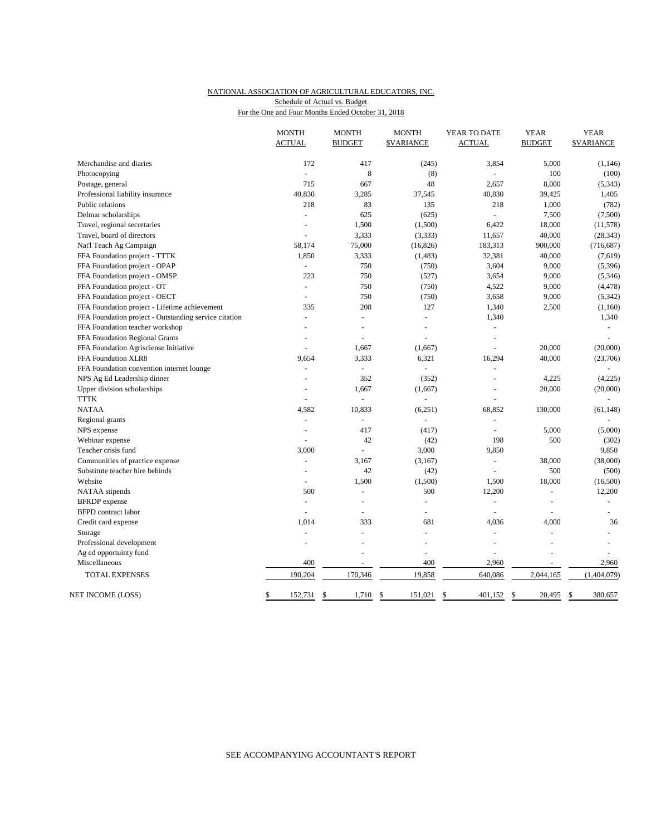### NATIONAL ASSOCIATION OF AGRICULTURAL EDUCATORS, INC. For the One and Four Months Ended October 31, 2018 Schedule of Actual vs. Budget

|                                                       | <b>MONTH</b><br><b>ACTUAL</b> | <b>MONTH</b><br><b>BUDGET</b> | <b>MONTH</b><br><b><i>SVARIANCE</i></b> | YEAR TO DATE<br><b>ACTUAL</b> | <b>YEAR</b><br><b>BUDGET</b> | <b>YEAR</b><br><b><i>SVARIANCE</i></b> |
|-------------------------------------------------------|-------------------------------|-------------------------------|-----------------------------------------|-------------------------------|------------------------------|----------------------------------------|
| Merchandise and diaries                               | 172                           | 417                           | (245)                                   | 3,854                         | 5,000                        | (1,146)                                |
| Photocopying                                          | $\blacksquare$                | 8                             | (8)                                     |                               | 100                          | (100)                                  |
| Postage, general                                      | 715                           | 667                           | 48                                      | 2,657                         | 8,000                        | (5, 343)                               |
| Professional liability insurance                      | 40,830                        | 3,285                         | 37,545                                  | 40,830                        | 39,425                       | 1,405                                  |
| Public relations                                      | 218                           | 83                            | 135                                     | 218                           | 1,000                        | (782)                                  |
| Delmar scholarships                                   | ä,                            | 625                           | (625)                                   | $\overline{a}$                | 7,500                        | (7,500)                                |
| Travel, regional secretaries                          | L.                            | 1,500                         | (1,500)                                 | 6,422                         | 18,000                       | (11, 578)                              |
| Travel, board of directors                            | ä,                            | 3,333                         | (3, 333)                                | 11,657                        | 40,000                       | (28, 343)                              |
| Nat'l Teach Ag Campaign                               | 58,174                        | 75,000                        | (16, 826)                               | 183,313                       | 900,000                      | (716, 687)                             |
| FFA Foundation project - TTTK                         | 1,850                         | 3,333                         | (1, 483)                                | 32,381                        | 40,000                       | (7,619)                                |
| FFA Foundation project - OPAP                         | $\overline{a}$                | 750                           | (750)                                   | 3,604                         | 9,000                        | (5, 396)                               |
| FFA Foundation project - OMSP                         | 223                           | 750                           | (527)                                   | 3,654                         | 9,000                        | (5, 346)                               |
| FFA Foundation project - OT                           | $\blacksquare$                | 750                           | (750)                                   | 4,522                         | 9,000                        | (4, 478)                               |
| FFA Foundation project - OECT                         |                               | 750                           | (750)                                   | 3,658                         | 9,000                        | (5, 342)                               |
| FFA Foundation project - Lifetime achievement         | 335                           | 208                           | 127                                     | 1,340                         | 2,500                        | (1, 160)                               |
| FFA Foundation project - Outstanding service citation | $\overline{a}$                | ÷.                            | $\overline{a}$                          | 1,340                         |                              | 1,340                                  |
| FFA Foundation teacher workshop                       |                               |                               |                                         |                               |                              |                                        |
|                                                       | $\overline{a}$                |                               |                                         |                               |                              |                                        |
| FFA Foundation Regional Grants                        |                               | ÷.                            |                                         | ÷.                            |                              |                                        |
| FFA Foundation Agrisciense Initiative                 |                               | 1,667                         | (1,667)                                 | $\overline{a}$                | 20,000                       | (20,000)                               |
| FFA Foundation XLR8                                   | 9,654                         | 3,333                         | 6,321                                   | 16,294                        | 40,000                       | (23,706)                               |
| FFA Foundation convention internet lounge             | $\blacksquare$                | $\overline{\phantom{a}}$      | ÷,                                      | ÷                             |                              |                                        |
| NPS Ag Ed Leadership dinner                           |                               | 352                           | (352)                                   |                               | 4,225                        | (4,225)                                |
| Upper division scholarships                           | $\overline{\phantom{a}}$      | 1,667                         | (1,667)                                 | $\blacksquare$                | 20,000                       | (20,000)                               |
| <b>TTTK</b>                                           |                               | ÷                             |                                         |                               |                              |                                        |
| <b>NATAA</b>                                          | 4,582                         | 10,833                        | (6,251)                                 | 68,852                        | 130,000                      | (61, 148)                              |
| Regional grants                                       | $\blacksquare$                | ä,                            | ÷,                                      | $\equiv$                      |                              |                                        |
| NPS expense                                           | $\overline{\phantom{a}}$      | 417                           | (417)                                   |                               | 5,000                        | (5,000)                                |
| Webinar expense                                       | $\overline{\phantom{a}}$      | 42                            | (42)                                    | 198                           | 500                          | (302)                                  |
| Teacher crisis fund                                   | 3,000                         | ÷.                            | 3,000                                   | 9,850                         |                              | 9,850                                  |
| Communities of practice expense                       |                               | 3,167                         | (3,167)                                 |                               | 38,000                       | (38,000)                               |
| Substitute teacher hire behinds                       | $\overline{\phantom{a}}$      | 42                            | (42)                                    | $\overline{a}$                | 500                          | (500)                                  |
| Website                                               | $\overline{\phantom{a}}$      | 1,500                         | (1,500)                                 | 1,500                         | 18,000                       | (16,500)                               |
| NATAA stipends                                        | 500                           | ÷.                            | 500                                     | 12,200                        | ÷.                           | 12,200                                 |
| <b>BFRDP</b> expense                                  | ä,                            | L,                            | ÷,                                      | $\blacksquare$                | $\blacksquare$               |                                        |
| <b>BFPD</b> contract labor                            |                               |                               |                                         |                               |                              |                                        |
| Credit card expense                                   | 1,014                         | 333                           | 681                                     | 4,036                         | 4,000                        | 36                                     |
| Storage                                               |                               |                               |                                         |                               | $\overline{a}$               |                                        |
| Professional development                              |                               |                               |                                         | $\overline{a}$                |                              |                                        |
| Ag ed opportuinty fund                                |                               |                               | $\overline{a}$                          |                               |                              |                                        |
| Miscellaneous                                         | 400                           |                               | 400                                     | 2,960                         |                              | 2,960                                  |
| <b>TOTAL EXPENSES</b>                                 | 190,204                       | 170,346                       | 19,858                                  | 640,086                       | 2,044,165                    | (1,404,079)                            |
| NET INCOME (LOSS)                                     | \$<br>152,731                 | <sup>\$</sup><br>1,710        | <sup>\$</sup><br>151,021                | $\mathbb{S}$<br>401,152       | $\mathbb{S}$<br>20.495       | $\mathcal{S}$<br>380,657               |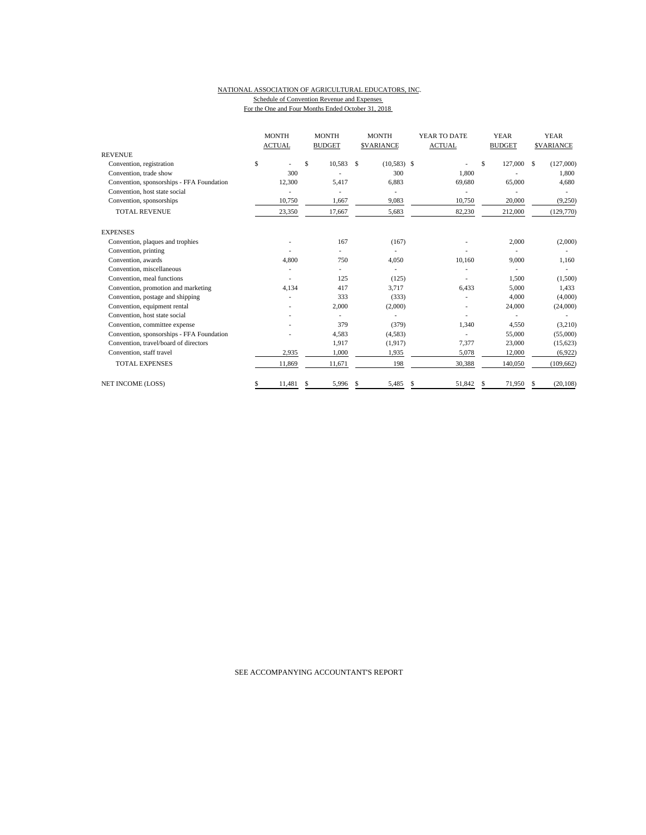#### NATIONAL ASSOCIATION OF AGRICULTURAL EDUCATORS, INC. Schedule of Convention Revenue and Expenses For the One and Four Months Ended October 31, 2018

|                                           | <b>MONTH</b>  |    | <b>MONTH</b>  | <b>MONTH</b>        | YEAR TO DATE  | <b>YEAR</b>   | <b>YEAR</b>      |  |
|-------------------------------------------|---------------|----|---------------|---------------------|---------------|---------------|------------------|--|
|                                           | <b>ACTUAL</b> |    | <b>BUDGET</b> | <b>\$VARIANCE</b>   | <b>ACTUAL</b> | <b>BUDGET</b> | <b>SVARIANCE</b> |  |
| <b>REVENUE</b>                            |               |    |               |                     |               |               |                  |  |
| Convention, registration                  | \$            | \$ | 10.583        | $(10,583)$ \$<br>\$ |               | \$<br>127,000 | (127,000)<br>S   |  |
| Convention, trade show                    | 300           |    |               | 300                 | 1.800         |               | 1.800            |  |
| Convention, sponsorships - FFA Foundation | 12,300        |    | 5,417         | 6,883               | 69,680        | 65,000        | 4,680            |  |
| Convention, host state social             |               |    |               |                     |               |               |                  |  |
| Convention, sponsorships                  | 10,750        |    | 1,667         | 9,083               | 10,750        | 20,000        | (9,250)          |  |
| <b>TOTAL REVENUE</b>                      | 23,350        |    | 17,667        | 5,683               | 82,230        | 212,000       | (129,770)        |  |
| <b>EXPENSES</b>                           |               |    |               |                     |               |               |                  |  |
| Convention, plaques and trophies          |               |    | 167           | (167)               |               | 2,000         | (2,000)          |  |
| Convention, printing                      |               |    |               |                     |               |               |                  |  |
| Convention, awards                        | 4,800         |    | 750           | 4,050               | 10,160        | 9,000         | 1,160            |  |
| Convention, miscellaneous                 |               |    |               |                     |               |               |                  |  |
| Convention, meal functions                |               |    | 125           | (125)               |               | 1,500         | (1,500)          |  |
| Convention, promotion and marketing       | 4,134         |    | 417           | 3,717               | 6,433         | 5,000         | 1,433            |  |
| Convention, postage and shipping          |               |    | 333           | (333)               |               | 4,000         | (4,000)          |  |
| Convention, equipment rental              |               |    | 2,000         | (2,000)             |               | 24,000        | (24,000)         |  |
| Convention, host state social             |               |    |               |                     |               |               |                  |  |
| Convention, committee expense             |               |    | 379           | (379)               | 1,340         | 4,550         | (3,210)          |  |
| Convention, sponsorships - FFA Foundation |               |    | 4,583         | (4,583)             |               | 55,000        | (55,000)         |  |
| Convention, travel/board of directors     |               |    | 1,917         | (1,917)             | 7,377         | 23,000        | (15,623)         |  |
| Convention, staff travel                  | 2,935         |    | 1,000         | 1,935               | 5,078         | 12,000        | (6,922)          |  |
| <b>TOTAL EXPENSES</b>                     | 11,869        |    | 11,671        | 198                 | 30,388        | 140,050       | (109, 662)       |  |
| <b>NET INCOME (LOSS)</b>                  | 11,481<br>S.  | S. | 5,996         | 5,485<br>\$         | 51,842<br>\$  | 71,950<br>S.  | (20, 108)<br>S   |  |

SEE ACCOMPANYING ACCOUNTANT'S REPORT